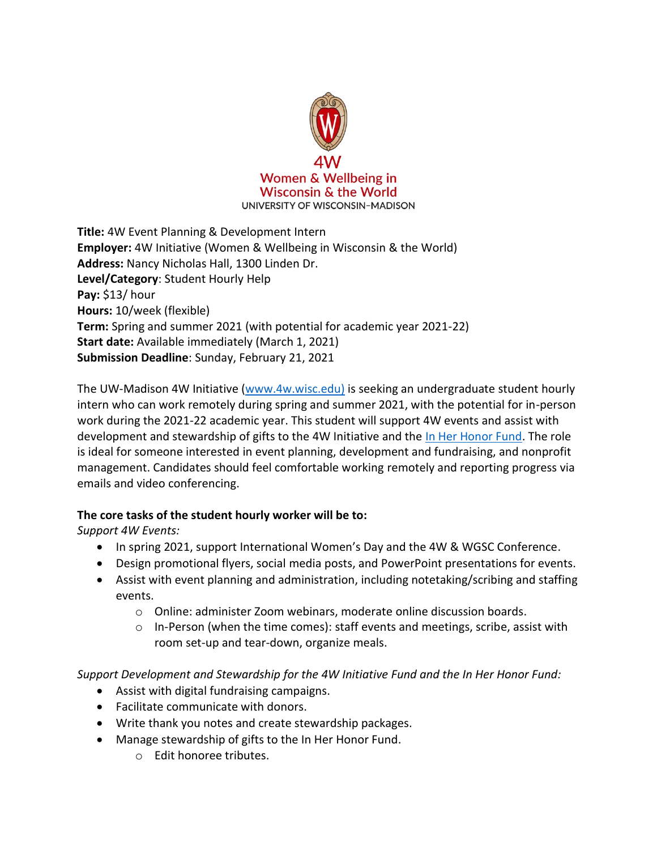

**Title:** 4W Event Planning & Development Intern **Employer:** 4W Initiative (Women & Wellbeing in Wisconsin & the World) **Address:** Nancy Nicholas Hall, 1300 Linden Dr. **Level/Category**: Student Hourly Help **Pay:** \$13/ hour **Hours:** 10/week (flexible) **Term:** Spring and summer 2021 (with potential for academic year 2021-22) **Start date:** Available immediately (March 1, 2021) **Submission Deadline**: Sunday, February 21, 2021

The UW-Madison 4W Initiative [\(www.4w.wisc.edu\)](http://www.4w.wisc.edu)/) is seeking an undergraduate student hourly intern who can work remotely during spring and summer 2021, with the potential for in-person work during the 2021-22 academic year. This student will support 4W events and assist with development and stewardship of gifts to the 4W Initiative and the [In Her Honor Fund.](https://inherhonor.wisc.edu/) The role is ideal for someone interested in event planning, development and fundraising, and nonprofit management. Candidates should feel comfortable working remotely and reporting progress via emails and video conferencing.

## **The core tasks of the student hourly worker will be to:**

*Support 4W Events:* 

- In spring 2021, support International Women's Day and the 4W & WGSC Conference.
- Design promotional flyers, social media posts, and PowerPoint presentations for events.
- Assist with event planning and administration, including notetaking/scribing and staffing events.
	- o Online: administer Zoom webinars, moderate online discussion boards.
	- o In-Person (when the time comes): staff events and meetings, scribe, assist with room set-up and tear-down, organize meals.

*Support Development and Stewardship for the 4W Initiative Fund and the In Her Honor Fund:* 

- Assist with digital fundraising campaigns.
- Facilitate communicate with donors.
- Write thank you notes and create stewardship packages.
- Manage stewardship of gifts to the In Her Honor Fund.
	- o Edit honoree tributes.